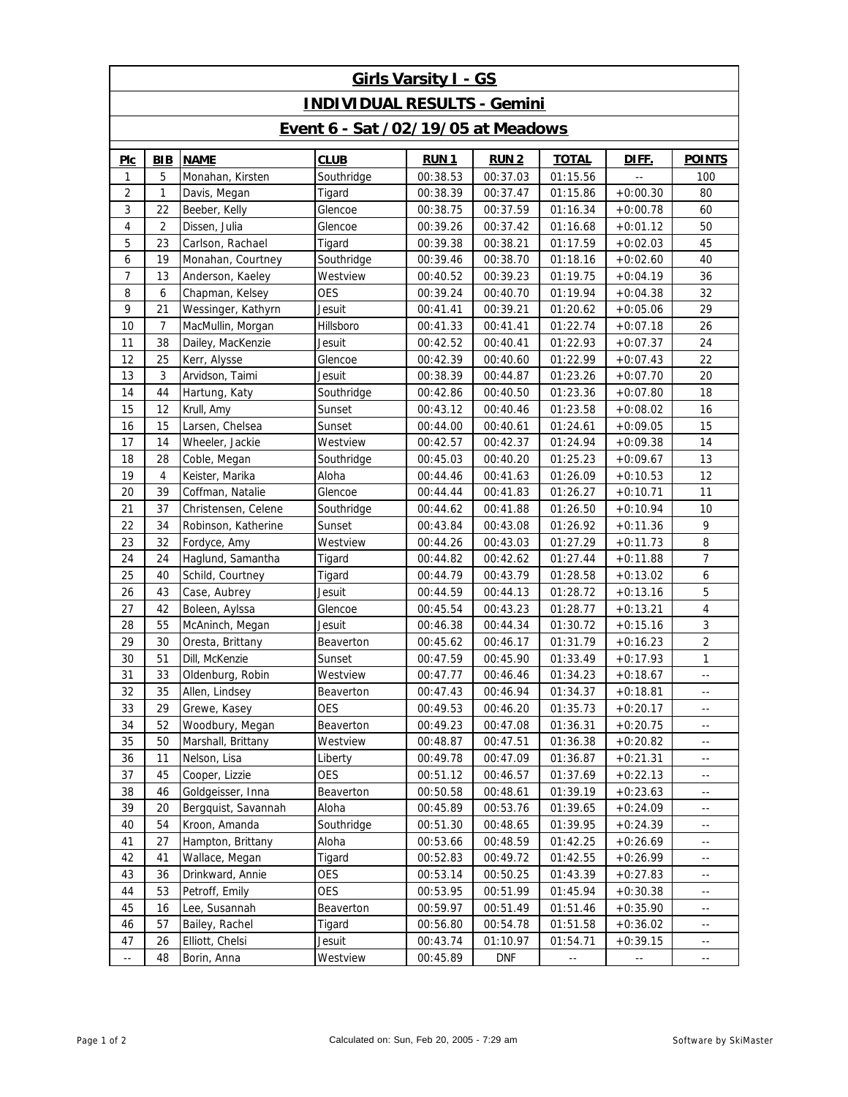| <b>Girls Varsity I - GS</b>               |     |                     |             |             |             |                                               |                                               |                            |  |  |  |  |
|-------------------------------------------|-----|---------------------|-------------|-------------|-------------|-----------------------------------------------|-----------------------------------------------|----------------------------|--|--|--|--|
| <b>INDIVIDUAL RESULTS - Gemini</b>        |     |                     |             |             |             |                                               |                                               |                            |  |  |  |  |
| <b>Event 6 - Sat /02/19/05 at Meadows</b> |     |                     |             |             |             |                                               |                                               |                            |  |  |  |  |
| PIC                                       | BIB | <b>NAME</b>         | <b>CLUB</b> | <b>RUN1</b> | <b>RUN2</b> | <b>TOTAL</b>                                  | DIFF.                                         | <b>POINTS</b>              |  |  |  |  |
| 1                                         | 5   | Monahan, Kirsten    | Southridge  | 00:38.53    | 00:37.03    | 01:15.56                                      | $\overline{a}$                                | 100                        |  |  |  |  |
| $\overline{c}$                            | 1   | Davis, Megan        | Tigard      | 00:38.39    | 00:37.47    | 01:15.86                                      | $+0:00.30$                                    | 80                         |  |  |  |  |
| 3                                         | 22  | Beeber, Kelly       | Glencoe     | 00:38.75    | 00:37.59    | 01:16.34                                      | $+0:00.78$                                    | 60                         |  |  |  |  |
| 4                                         | 2   | Dissen, Julia       | Glencoe     | 00:39.26    | 00:37.42    | 01:16.68                                      | $+0:01.12$                                    | 50                         |  |  |  |  |
| 5                                         | 23  | Carlson, Rachael    | Tigard      | 00:39.38    | 00:38.21    | 01:17.59                                      | $+0:02.03$                                    | 45                         |  |  |  |  |
| 6                                         | 19  | Monahan, Courtney   | Southridge  | 00:39.46    | 00:38.70    | 01:18.16                                      | $+0:02.60$                                    | 40                         |  |  |  |  |
| 7                                         | 13  | Anderson, Kaeley    | Westview    | 00:40.52    | 00:39.23    | 01:19.75                                      | $+0:04.19$                                    | 36                         |  |  |  |  |
| 8                                         | 6   | Chapman, Kelsey     | <b>OES</b>  | 00:39.24    | 00:40.70    | 01:19.94                                      | $+0:04.38$                                    | 32                         |  |  |  |  |
| 9                                         | 21  | Wessinger, Kathyrn  | Jesuit      | 00:41.41    | 00:39.21    | 01:20.62                                      | $+0:05.06$                                    | 29                         |  |  |  |  |
| 10                                        | 7   | MacMullin, Morgan   | Hillsboro   | 00:41.33    | 00:41.41    | 01:22.74                                      | $+0:07.18$                                    | 26                         |  |  |  |  |
| 11                                        | 38  | Dailey, MacKenzie   | Jesuit      | 00:42.52    | 00:40.41    | 01:22.93                                      | $+0:07.37$                                    | 24                         |  |  |  |  |
| 12                                        | 25  | Kerr, Alysse        | Glencoe     | 00:42.39    | 00:40.60    | 01:22.99                                      | $+0:07.43$                                    | 22                         |  |  |  |  |
| 13                                        | 3   | Arvidson, Taimi     | Jesuit      | 00:38.39    | 00:44.87    | 01:23.26                                      | $+0:07.70$                                    | 20                         |  |  |  |  |
| 14                                        | 44  | Hartung, Katy       | Southridge  | 00:42.86    | 00:40.50    | 01:23.36                                      | $+0:07.80$                                    | 18                         |  |  |  |  |
| 15                                        | 12  | Krull, Amy          | Sunset      | 00:43.12    | 00:40.46    | 01:23.58                                      | $+0:08.02$                                    | 16                         |  |  |  |  |
| 16                                        | 15  | Larsen, Chelsea     | Sunset      | 00:44.00    | 00:40.61    | 01:24.61                                      | $+0:09.05$                                    | 15                         |  |  |  |  |
| 17                                        | 14  | Wheeler, Jackie     | Westview    | 00:42.57    | 00:42.37    | 01:24.94                                      | $+0:09.38$                                    | 14                         |  |  |  |  |
| 18                                        | 28  | Coble, Megan        | Southridge  | 00:45.03    | 00:40.20    | 01:25.23                                      | $+0:09.67$                                    | 13                         |  |  |  |  |
| 19                                        | 4   | Keister, Marika     | Aloha       | 00:44.46    | 00:41.63    | 01:26.09                                      | $+0:10.53$                                    | 12                         |  |  |  |  |
| 20                                        | 39  | Coffman, Natalie    | Glencoe     | 00:44.44    | 00:41.83    | 01:26.27                                      | $+0:10.71$                                    | 11                         |  |  |  |  |
| 21                                        | 37  | Christensen, Celene | Southridge  | 00:44.62    | 00:41.88    | 01:26.50                                      | $+0:10.94$                                    | 10                         |  |  |  |  |
| 22                                        | 34  | Robinson, Katherine | Sunset      | 00:43.84    | 00:43.08    | 01:26.92                                      | $+0:11.36$                                    | 9                          |  |  |  |  |
| 23                                        | 32  | Fordyce, Amy        | Westview    | 00:44.26    | 00:43.03    | 01:27.29                                      | $+0:11.73$                                    | 8                          |  |  |  |  |
| 24                                        | 24  | Haglund, Samantha   | Tigard      | 00:44.82    | 00:42.62    | 01:27.44                                      | $+0:11.88$                                    | $\overline{7}$             |  |  |  |  |
| 25                                        | 40  | Schild, Courtney    | Tigard      | 00:44.79    | 00:43.79    | 01:28.58                                      | $+0:13.02$                                    | 6                          |  |  |  |  |
| 26                                        | 43  | Case, Aubrey        | Jesuit      | 00:44.59    | 00:44.13    | 01:28.72                                      | $+0:13.16$                                    | 5                          |  |  |  |  |
| 27                                        | 42  | Boleen, Aylssa      | Glencoe     | 00:45.54    | 00:43.23    | 01:28.77                                      | $+0:13.21$                                    | $\overline{4}$             |  |  |  |  |
| 28                                        | 55  | McAninch, Megan     | Jesuit      | 00:46.38    | 00:44.34    | 01:30.72                                      | $+0:15.16$                                    | 3                          |  |  |  |  |
| 29                                        | 30  | Oresta, Brittany    | Beaverton   | 00:45.62    | 00:46.17    | 01:31.79                                      | $+0:16.23$                                    | $\overline{2}$             |  |  |  |  |
| 30                                        | 51  | Dill, McKenzie      | Sunset      | 00:47.59    | 00:45.90    | 01:33.49                                      | $+0:17.93$                                    | 1                          |  |  |  |  |
| 31                                        | 33  | Oldenburg, Robin    | Westview    | 00:47.77    | 00:46.46    | 01:34.23                                      | $+0:18.67$                                    | $\overline{\phantom{a}}$ . |  |  |  |  |
| 32                                        | 35  | Allen, Lindsey      | Beaverton   | 00:47.43    | 00:46.94    | 01:34.37                                      | $+0:18.81$                                    | Ξ.                         |  |  |  |  |
| 33                                        | 29  | Grewe, Kasey        | <b>OES</b>  | 00:49.53    | 00:46.20    | 01:35.73                                      | $+0:20.17$                                    | --                         |  |  |  |  |
| 34                                        | 52  | Woodbury, Megan     | Beaverton   | 00:49.23    | 00:47.08    | 01:36.31                                      | $+0:20.75$                                    | $\overline{\phantom{a}}$   |  |  |  |  |
| 35                                        | 50  | Marshall, Brittany  | Westview    | 00:48.87    | 00:47.51    | 01:36.38                                      | $+0:20.82$                                    | $\overline{\phantom{a}}$   |  |  |  |  |
| 36                                        | 11  | Nelson, Lisa        | Liberty     | 00:49.78    | 00:47.09    | 01:36.87                                      | $+0:21.31$                                    | $\overline{\phantom{a}}$   |  |  |  |  |
| 37                                        | 45  | Cooper, Lizzie      | <b>OES</b>  | 00:51.12    | 00:46.57    | 01:37.69                                      | $+0:22.13$                                    | $\overline{\phantom{a}}$   |  |  |  |  |
| 38                                        | 46  | Goldgeisser, Inna   | Beaverton   | 00:50.58    | 00:48.61    | 01:39.19                                      | $+0:23.63$                                    | $\overline{\phantom{a}}$   |  |  |  |  |
| 39                                        | 20  | Bergguist, Savannah | Aloha       | 00:45.89    | 00:53.76    | 01:39.65                                      | $+0:24.09$                                    | $\overline{\phantom{a}}$   |  |  |  |  |
| 40                                        | 54  | Kroon, Amanda       | Southridge  | 00:51.30    | 00:48.65    | 01:39.95                                      | $+0:24.39$                                    | $\overline{\phantom{a}}$   |  |  |  |  |
| 41                                        | 27  | Hampton, Brittany   | Aloha       | 00:53.66    | 00:48.59    | 01:42.25                                      | $+0:26.69$                                    | $\overline{\phantom{a}}$   |  |  |  |  |
| 42                                        | 41  | Wallace, Megan      | Tigard      | 00:52.83    | 00:49.72    | 01:42.55                                      | $+0:26.99$                                    | $\overline{\phantom{a}}$   |  |  |  |  |
| 43                                        | 36  | Drinkward, Annie    | OES         | 00:53.14    | 00:50.25    | 01:43.39                                      | $+0:27.83$                                    | $\overline{\phantom{a}}$   |  |  |  |  |
| 44                                        | 53  | Petroff, Emily      | OES         | 00:53.95    | 00:51.99    | 01:45.94                                      | $+0:30.38$                                    | $\overline{\phantom{a}}$   |  |  |  |  |
| 45                                        | 16  | Lee, Susannah       | Beaverton   | 00:59.97    | 00:51.49    | 01:51.46                                      | $+0:35.90$                                    | $\overline{\phantom{a}}$   |  |  |  |  |
| 46                                        | 57  | Bailey, Rachel      | Tigard      | 00:56.80    | 00:54.78    | 01:51.58                                      | $+0:36.02$                                    | $\overline{\phantom{a}}$   |  |  |  |  |
| 47                                        | 26  | Elliott, Chelsi     | Jesuit      | 00:43.74    | 01:10.97    | 01:54.71                                      | $+0:39.15$                                    | $\overline{\phantom{a}}$   |  |  |  |  |
| $\overline{\phantom{a}}$ .                | 48  | Borin, Anna         | Westview    | 00:45.89    | <b>DNF</b>  | $\mathord{\hspace{1pt}\text{--}\hspace{1pt}}$ | $\mathord{\hspace{1pt}\text{--}\hspace{1pt}}$ | $\overline{\phantom{a}}$   |  |  |  |  |